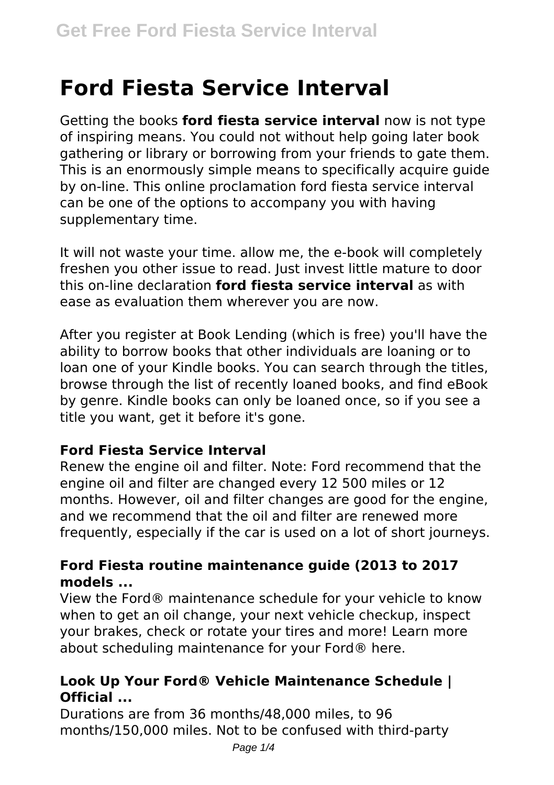# **Ford Fiesta Service Interval**

Getting the books **ford fiesta service interval** now is not type of inspiring means. You could not without help going later book gathering or library or borrowing from your friends to gate them. This is an enormously simple means to specifically acquire guide by on-line. This online proclamation ford fiesta service interval can be one of the options to accompany you with having supplementary time.

It will not waste your time. allow me, the e-book will completely freshen you other issue to read. Just invest little mature to door this on-line declaration **ford fiesta service interval** as with ease as evaluation them wherever you are now.

After you register at Book Lending (which is free) you'll have the ability to borrow books that other individuals are loaning or to loan one of your Kindle books. You can search through the titles, browse through the list of recently loaned books, and find eBook by genre. Kindle books can only be loaned once, so if you see a title you want, get it before it's gone.

## **Ford Fiesta Service Interval**

Renew the engine oil and filter. Note: Ford recommend that the engine oil and filter are changed every 12 500 miles or 12 months. However, oil and filter changes are good for the engine, and we recommend that the oil and filter are renewed more frequently, especially if the car is used on a lot of short journeys.

## **Ford Fiesta routine maintenance guide (2013 to 2017 models ...**

View the Ford® maintenance schedule for your vehicle to know when to get an oil change, your next vehicle checkup, inspect your brakes, check or rotate your tires and more! Learn more about scheduling maintenance for your Ford® here.

# **Look Up Your Ford® Vehicle Maintenance Schedule | Official ...**

Durations are from 36 months/48,000 miles, to 96 months/150,000 miles. Not to be confused with third-party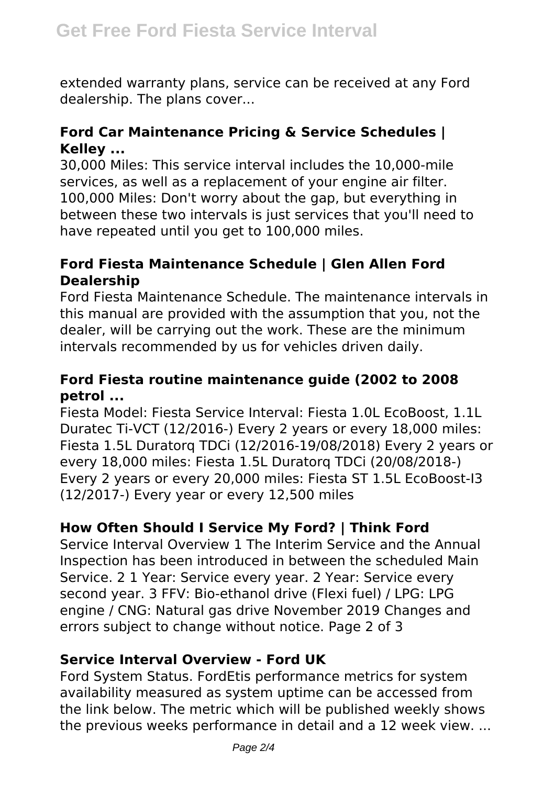extended warranty plans, service can be received at any Ford dealership. The plans cover...

## **Ford Car Maintenance Pricing & Service Schedules | Kelley ...**

30,000 Miles: This service interval includes the 10,000-mile services, as well as a replacement of your engine air filter. 100,000 Miles: Don't worry about the gap, but everything in between these two intervals is just services that you'll need to have repeated until you get to 100,000 miles.

## **Ford Fiesta Maintenance Schedule | Glen Allen Ford Dealership**

Ford Fiesta Maintenance Schedule. The maintenance intervals in this manual are provided with the assumption that you, not the dealer, will be carrying out the work. These are the minimum intervals recommended by us for vehicles driven daily.

#### **Ford Fiesta routine maintenance guide (2002 to 2008 petrol ...**

Fiesta Model: Fiesta Service Interval: Fiesta 1.0L EcoBoost, 1.1L Duratec Ti-VCT (12/2016-) Every 2 years or every 18,000 miles: Fiesta 1.5L Duratorq TDCi (12/2016-19/08/2018) Every 2 years or every 18,000 miles: Fiesta 1.5L Duratorq TDCi (20/08/2018-) Every 2 years or every 20,000 miles: Fiesta ST 1.5L EcoBoost-I3 (12/2017-) Every year or every 12,500 miles

# **How Often Should I Service My Ford? | Think Ford**

Service Interval Overview 1 The Interim Service and the Annual Inspection has been introduced in between the scheduled Main Service. 2 1 Year: Service every year. 2 Year: Service every second year. 3 FFV: Bio-ethanol drive (Flexi fuel) / LPG: LPG engine / CNG: Natural gas drive November 2019 Changes and errors subject to change without notice. Page 2 of 3

#### **Service Interval Overview - Ford UK**

Ford System Status. FordEtis performance metrics for system availability measured as system uptime can be accessed from the link below. The metric which will be published weekly shows the previous weeks performance in detail and a 12 week view. ...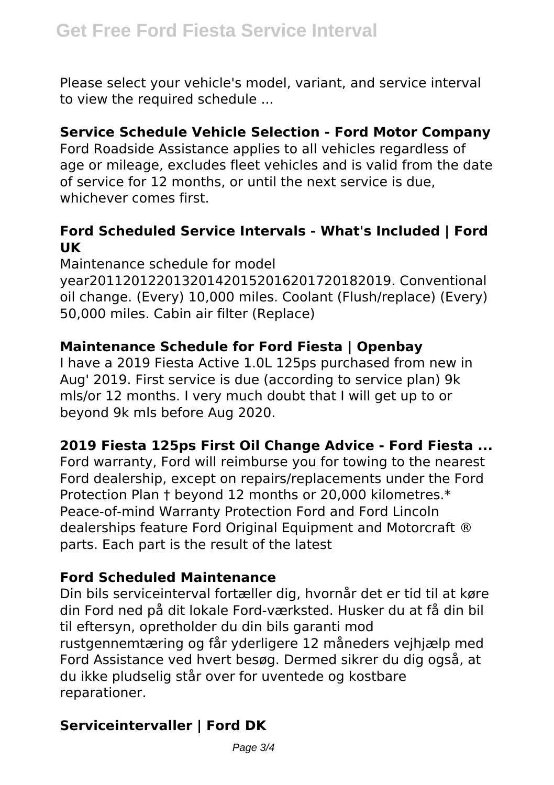Please select your vehicle's model, variant, and service interval to view the required schedule ...

#### **Service Schedule Vehicle Selection - Ford Motor Company**

Ford Roadside Assistance applies to all vehicles regardless of age or mileage, excludes fleet vehicles and is valid from the date of service for 12 months, or until the next service is due, whichever comes first.

#### **Ford Scheduled Service Intervals - What's Included | Ford UK**

Maintenance schedule for model year201120122013201420152016201720182019. Conventional oil change. (Every) 10,000 miles. Coolant (Flush/replace) (Every) 50,000 miles. Cabin air filter (Replace)

# **Maintenance Schedule for Ford Fiesta | Openbay**

I have a 2019 Fiesta Active 1.0L 125ps purchased from new in Aug' 2019. First service is due (according to service plan) 9k mls/or 12 months. I very much doubt that I will get up to or beyond 9k mls before Aug 2020.

# **2019 Fiesta 125ps First Oil Change Advice - Ford Fiesta ...**

Ford warranty, Ford will reimburse you for towing to the nearest Ford dealership, except on repairs/replacements under the Ford Protection Plan † beyond 12 months or 20,000 kilometres.\* Peace-of-mind Warranty Protection Ford and Ford Lincoln dealerships feature Ford Original Equipment and Motorcraft ® parts. Each part is the result of the latest

## **Ford Scheduled Maintenance**

Din bils serviceinterval fortæller dig, hvornår det er tid til at køre din Ford ned på dit lokale Ford-værksted. Husker du at få din bil til eftersyn, opretholder du din bils garanti mod rustgennemtæring og får yderligere 12 måneders vejhjælp med Ford Assistance ved hvert besøg. Dermed sikrer du dig også, at du ikke pludselig står over for uventede og kostbare reparationer.

# **Serviceintervaller | Ford DK**